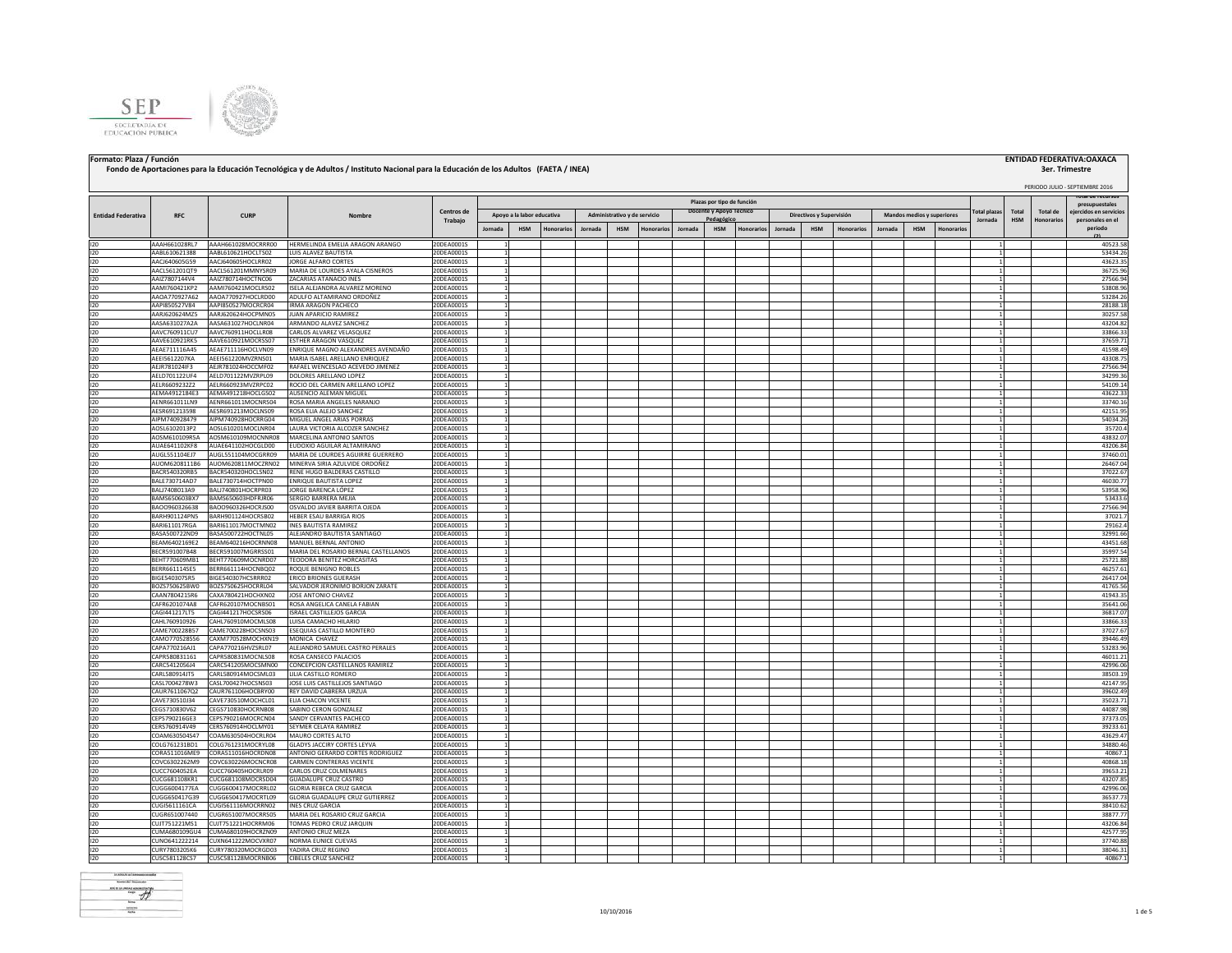



### Formato: Plaza / Función **Processariones para la Educación Tecnológica y de Adultos / Instituto Nacional para la Educación de los Adultos (FAETA / INEA) <b>a computer computer a computer a computer a computer a computer a co**  PERIODO JULIO - SEPTIEMBRE 2016 **Jornada HSM Honorarios Jornada HSM Honorarios Jornada HSM Honorarios Jornada HSM Honorarios Jornada HSM Honorarios** I20 AAAH661028RL7 AAAH661028MOCRRR00 HERMELINDA EMELIA ARAGON ARANGO 200EA0001S 1 1 1 40523.58 AABL610621388 AABL610621388 AABL610621388 AABL610621388 AABL610621388 AABL610621388 AABL610621388 AABL610621388 AABL610621388 A I20 AABL610621388 AABL610621HOCLTS02 LUIS ALAVEZ BAUTISTA 20DEA0001S 1 1 53434.26 I20 AACJ640605G59 AACJ640605HOCLRR02 JORGE ALFARO CORTES 20DEA0001S 1 1 43623.35 I20 AACL561201QT9 AACL561201MMNYSR09 MARIA DE LOURDES AYALA CISNEROS 20DEA0001S 1 1 36725.96 **3er. Trimestre Total plazas Jornada Total HSM Total de Honorarios presupuestales ejercidos en servicios Entidad Federativa RFC CURP Nombre Centros de** Trabajo<br>**Jornada Plazas por tipo de función Administrativo y de servicio Docente y Apoyo Técnico**<br> **Pedagógico Pedagógico Pedagógico Pedagógico Pedagógico Pedagógico Pedagógico Pedagógico Pedagógico Pedagógico Pedagógico**<br>Pedagógico Pedagógico Pedagógico Pedagógico Pedagógico Pedagógico Pedagógico Pedagógico Pedagógico Pedagógico<br>

|     | 15539129191.  | 500 - 10120 1010 1120 | כור שני האורח בזמורים היו אויות      | ,,,,,,,,,,                   |  |  |  |  |  |  |              | ,,,,,,,  |
|-----|---------------|-----------------------|--------------------------------------|------------------------------|--|--|--|--|--|--|--------------|----------|
| 120 | AAIZ7807144V4 | AAIZ780714HOCTNC06    | ZACARIAS ATANACIO INES               | 20DEA0001S                   |  |  |  |  |  |  |              | 27566.94 |
| 120 | AAMI760421KP2 | AAMI760421MOCLRS02    | ISELA ALEJANDRA ALVAREZ MORENO       | 20DEA0001S                   |  |  |  |  |  |  |              | 53808.96 |
|     |               |                       |                                      |                              |  |  |  |  |  |  |              |          |
| 120 | AAOA770927A62 | AAOA770927HOCLRD00    | ADULFO ALTAMIRANO ORDOÑEZ            | 20DEA0001S                   |  |  |  |  |  |  |              | 53284.2  |
| 120 | AAPI850527V84 | AAPI850527MOCRCR04    | <b>IRMA ARAGON PACHECO</b>           | 20DEA0001S<br>1              |  |  |  |  |  |  | 1            | 28188.1  |
|     |               |                       |                                      |                              |  |  |  |  |  |  |              |          |
| 120 | AARJ620624MZ5 | AARJ620624HOCPMN05    | JUAN APARICIO RAMIREZ                | 20DEA0001S                   |  |  |  |  |  |  |              | 30257.58 |
| 120 | AASA631027A2A | AASA631027HOCLNR04    | ARMANDO ALAVEZ SANCHEZ               | 20DEA0001S                   |  |  |  |  |  |  | $\mathbf{1}$ | 43204.82 |
| 120 | AAVC760911CU7 | AAVC760911HOCLLR08    |                                      | 20DEA0001S                   |  |  |  |  |  |  | $\mathbf{1}$ | 33866.33 |
|     |               |                       | CARLOS ALVAREZ VELASQUEZ             | $\mathbf{1}$                 |  |  |  |  |  |  |              |          |
| 120 | AAVE610921RK5 | AAVE610921MOCRSS07    | ESTHER ARAGON VASQUEZ                | 20DEA0001S<br>$\mathbf{1}$   |  |  |  |  |  |  | 1            | 37659.71 |
|     |               | AEAE711116HOCLVN09    |                                      | $\mathbf{1}$                 |  |  |  |  |  |  | $\mathbf{1}$ |          |
| 120 | AEAE711116A45 |                       | ENRIQUE MAGNO ALEXANDRES AVENDAÑO    | 20DEA0001S                   |  |  |  |  |  |  |              | 41598.49 |
| 120 | AEEI5612207KA | AEEI561220MVZRNS01    | MARIA ISABEL ARELLANO ENRIQUEZ       | 20DEA0001S                   |  |  |  |  |  |  | 1            | 43308.7  |
| 120 | AEJR781024IF3 | AEJR781024HOCCMF02    | RAFAEL WENCESLAO ACEVEDO JIMENEZ     | 20DEA0001S                   |  |  |  |  |  |  | 1            | 27566.94 |
|     |               |                       |                                      |                              |  |  |  |  |  |  |              |          |
| 120 | AELD701122UF4 | AELD701122MVZRPL09    | DOLORES ARELLANO LOPEZ               | 20DEA0001S<br>1              |  |  |  |  |  |  | $\mathbf{1}$ | 34299.36 |
| 120 | AELR6609232Z2 | AELR660923MVZRPC02    | ROCIO DEL CARMEN ARELLANO LOPEZ      | 20DEA0001S<br>1              |  |  |  |  |  |  | $\mathbf{1}$ | 54109.14 |
|     |               |                       |                                      |                              |  |  |  |  |  |  |              |          |
| 120 | AEMA4912184E3 | AEMA491218HOCLGS02    | AUSENCIO ALEMAN MIGUEL               | 20DEA0001S<br>$\mathbf{1}$   |  |  |  |  |  |  |              | 43622.3  |
| 120 | AENR661011LN9 | AENR661011MOCNRS04    | ROSA MARIA ANGELES NARANJO           | 20DEA0001S<br>$\mathbf{1}$   |  |  |  |  |  |  |              | 33740.1  |
|     |               |                       |                                      |                              |  |  |  |  |  |  |              |          |
| 120 | AESR691213598 | AESR691213MOCLNS09    | ROSA ELIA ALEJO SANCHEZ              | 20DEA0001S                   |  |  |  |  |  |  | $\mathbf{1}$ | 42151.99 |
| 120 | AIPM740928479 | AIPM740928HOCRRG04    | MIGUEL ANGEL ARIAS PORRAS            | 20DEA0001S                   |  |  |  |  |  |  | $\mathbf{1}$ | 54034.26 |
|     |               |                       |                                      |                              |  |  |  |  |  |  |              |          |
| 120 | AOSL6102013P2 | AOSL610201MOCLNR04    | LAURA VICTORIA ALCOZER SANCHEZ       | 20DEA0001S<br>$\mathbf{1}$   |  |  |  |  |  |  | 1            | 35720.4  |
| 120 | AOSM610109R5A | AOSM610109MOCNNR08    | MARCELINA ANTONIO SANTOS             | 20DEA0001S                   |  |  |  |  |  |  |              | 43832.0  |
|     |               |                       |                                      |                              |  |  |  |  |  |  |              |          |
| 120 | AUAE641102KF8 | AUAE641102HOCGLD00    | EUDOXIO AGUILAR ALTAMIRANO           | 20DEA0001S                   |  |  |  |  |  |  | 1            | 43206.84 |
| 120 | AUGL551104EJ7 | AUGL551104MOCGRR09    | MARIA DE LOURDES AGUIRRE GUERRERO    | 20DEA0001S                   |  |  |  |  |  |  |              | 37460.0  |
|     |               |                       |                                      |                              |  |  |  |  |  |  |              |          |
| 120 | AUOM6208111B6 | AUOM620811MOCZRN02    | MINERVA SIRIA AZULVIDE ORDOÑEZ       | 20DEA0001S                   |  |  |  |  |  |  | $\mathbf{1}$ | 26467.04 |
| 120 | BACR540320RB5 | BACR540320HOCLSN02    | RENE HUGO BALDERAS CASTILLO          | 20DEA0001S                   |  |  |  |  |  |  | $\mathbf{1}$ | 37022.67 |
|     |               |                       |                                      |                              |  |  |  |  |  |  |              |          |
| 120 | BALE730714AD7 | BALE730714HOCTPN00    | ENRIQUE BAUTISTA LOPEZ               | 20DEA0001S<br>$\overline{1}$ |  |  |  |  |  |  | 1            | 46030.7  |
| 120 | BALJ7408013A9 | BALJ740801HOCRPR03    | JORGE BARENCA LÓPEZ                  | 20DEA0001S<br>$\mathbf{1}$   |  |  |  |  |  |  |              | 53958.9  |
|     |               |                       |                                      |                              |  |  |  |  |  |  |              |          |
| 120 | BAMS650603BX7 | BAMS650603HDFRJR06    | SERGIO BARRERA MEJIA                 | 20DEA0001S                   |  |  |  |  |  |  |              | 53433.   |
| 120 | BAOO960326638 | BAOO960326HOCRJS00    | OSVALDO JAVIER BARRITA OJEDA         | 20DEA0001S                   |  |  |  |  |  |  |              | 27566.94 |
|     |               |                       |                                      |                              |  |  |  |  |  |  |              |          |
| 120 | BARH901124PN5 | BARH901124HOCRSB02    | HEBER ESAU BARRIGA RIOS              | 20DEA0001S                   |  |  |  |  |  |  | $\mathbf{1}$ | 37021.7  |
| 120 | BARI611017RGA | BARI611017MOCTMN02    | <b>INES BAUTISTA RAMIREZ</b>         | 20DEA0001S                   |  |  |  |  |  |  |              | 29162.4  |
|     |               |                       |                                      |                              |  |  |  |  |  |  |              |          |
| 120 | BASA500722ND9 | BASA500722HOCTNL05    | ALEJANDRO BAUTISTA SANTIAGO          | 20DEA0001S                   |  |  |  |  |  |  |              | 32991.66 |
| 120 | BEAM6402169E2 | BEAM640216HOCRNN08    | MANUEL BERNAL ANTONIO                | 20DEA0001S                   |  |  |  |  |  |  | 1            | 43451.68 |
|     |               |                       |                                      |                              |  |  |  |  |  |  |              |          |
| 120 | BECR591007B48 | BECR591007MGRRSS01    | MARIA DEL ROSARIO BERNAL CASTELLANOS | 20DEA0001S                   |  |  |  |  |  |  | 1            | 35997.5  |
| 120 | BEHT770609MB1 | BEHT770609MOCNRD07    | TEODORA BENITEZ HORCASITAS           | 20DEA0001S                   |  |  |  |  |  |  | $\mathbf{1}$ | 25721.8  |
|     |               |                       |                                      |                              |  |  |  |  |  |  |              |          |
| 120 | BERR661114SE5 | BERR661114HOCNBQ02    | <b>ROQUE BENIGNO ROBLES</b>          | 20DEA0001S                   |  |  |  |  |  |  | 1            | 46257.6  |
| 120 | BIGE540307SR5 | BIGE540307HCSRRR02    | <b>ERICO BRIONES GUERASH</b>         | 20DEA0001S<br>$\mathbf{1}$   |  |  |  |  |  |  | 1            | 26417.04 |
|     |               |                       |                                      |                              |  |  |  |  |  |  |              |          |
| 120 | BOZS750625BW0 | BOZS750625HOCRRL04    | SALVADOR JERONIMO BORJON ZARATE      | 20DEA0001S<br>$\overline{1}$ |  |  |  |  |  |  | $\mathbf{1}$ | 41765.5  |
| 120 | CAAN7804215R6 | CAXA780421HOCHXN02    | JOSE ANTONIO CHAVEZ                  | 20DEA0001S                   |  |  |  |  |  |  | 1            | 41943.35 |
|     |               |                       |                                      |                              |  |  |  |  |  |  |              |          |
| 120 | CAFR6201074A8 | CAFR620107MOCNBS01    | ROSA ANGELICA CANELA FABIAN          | 20DEA0001S                   |  |  |  |  |  |  |              | 35641.0  |
| 120 | CAG1441217LT5 | CAGI441217HOCSRS06    | <b>ISRAEL CASTILLEJOS GARCIA</b>     | 20DEA0001S                   |  |  |  |  |  |  | 1            | 36817.07 |
| 120 |               | CAHL760910MOCMLS08    | LUISA CAMACHO HILARIO                |                              |  |  |  |  |  |  |              | 33866.33 |
|     | CAHL760910926 |                       |                                      | 20DEA0001S<br>1              |  |  |  |  |  |  | 1            |          |
| 120 | CAME700228B57 | CAME700228HOCSNS03    | ESEQUIAS CASTILLO MONTERO            | 20DEA0001S<br>$\mathbf{1}$   |  |  |  |  |  |  | $\mathbf{1}$ | 37027.67 |
| 120 |               | CAXM770528MOCHXN19    | MONICA CHAVEZ                        | 20DEA0001S<br>$\mathbf{1}$   |  |  |  |  |  |  | $\mathbf{1}$ | 39446.49 |
|     | CAMO770528556 |                       |                                      |                              |  |  |  |  |  |  |              |          |
| 120 | CAPA770216AJ1 | CAPA770216HVZSRL07    | ALEJANDRO SAMUEL CASTRO PERALES      | 20DEA0001S                   |  |  |  |  |  |  | $\mathbf{1}$ | 53283.9  |
| 120 |               |                       |                                      |                              |  |  |  |  |  |  |              |          |
|     | CAPR580831161 | CAPR580831MOCNLS08    | ROSA CANSECO PALACIOS                | 20DEA0001S                   |  |  |  |  |  |  | 1            | 46011.21 |
| 120 | CARC5412056J4 | CARC541205MOCSMN00    | CONCEPCION CASTELLANOS RAMIREZ       | 20DEA0001S                   |  |  |  |  |  |  |              | 42996.06 |
|     |               |                       |                                      |                              |  |  |  |  |  |  |              |          |
| 120 | CARL580914JT5 | CARL580914MOCSML03    | LILIA CASTILLO ROMERO                | 20DEA0001S                   |  |  |  |  |  |  |              | 38503.1  |
| 120 | CASL7004278W3 | CASL700427HOCSNS03    | JOSE LUIS CASTILLEJOS SANTIAGO       | 20DEA0001S<br>$\mathbf{1}$   |  |  |  |  |  |  | 1            | 42147.95 |
|     |               |                       |                                      |                              |  |  |  |  |  |  | 1            |          |
| 120 | CAUR7611067Q2 | CAUR761106HOCBRY00    | REY DAVID CABRERA URZUA              | 20DEA0001S                   |  |  |  |  |  |  |              | 39602.4  |
| 120 | CAVE730510J34 | CAVE730510MOCHCL01    | ELIA CHACON VICENTE                  | 20DEA0001S                   |  |  |  |  |  |  | $\mathbf{1}$ | 35023.7  |
| 120 | CEGS710830V62 | CEGS710830HOCRNB08    | SABINO CERON GONZALEZ                | 20DEA0001S                   |  |  |  |  |  |  | 1            | 44087.98 |
|     |               |                       |                                      |                              |  |  |  |  |  |  |              |          |
| 120 | CEPS790216GE3 | CEPS790216MOCRCN04    | SANDY CERVANTES PACHECO              | 20DEA0001S                   |  |  |  |  |  |  |              | 37373.05 |
| 120 | CERS760914V49 | CERS760914HOCLMY01    | SEYMER CELAYA RAMIREZ                | 20DEA0001S                   |  |  |  |  |  |  |              | 39233.6  |
|     |               |                       |                                      |                              |  |  |  |  |  |  |              |          |
| 120 | COAM630504S47 | COAM630504HOCRLR04    | MAURO CORTES ALTO                    | 20DEA0001S                   |  |  |  |  |  |  | 1            | 43629.47 |
| 120 | COLG761231BD1 | COLG761231MOCRYL08    | <b>GLADYS JACCIRY CORTES LEYVA</b>   | 20DEA0001S                   |  |  |  |  |  |  | $\mathbf{1}$ | 34880.4  |
|     |               |                       |                                      |                              |  |  |  |  |  |  |              |          |
| 120 | CORA511016ME9 | CORA511016HOCRDN08    | ANTONIO GERARDO CORTES RODRIGUEZ     | 20DEA0001S                   |  |  |  |  |  |  | $\mathbf{1}$ | 40867.   |
| 120 | COVC6302262M9 | COVC630226MOCNCR08    | CARMEN CONTRERAS VICENTE             | 20DEA0001S                   |  |  |  |  |  |  |              | 40868.1  |
|     |               |                       |                                      |                              |  |  |  |  |  |  |              |          |
| 120 | CUCC7604052EA | CUCC760405HOCRLR09    | CARLOS CRUZ COLMENARES               | 20DEA0001S<br>$\mathbf{1}$   |  |  |  |  |  |  | 1            | 39653.2  |
| 120 | CUCG681108KR1 | CUCG681108MOCRSD04    | <b>GUADALUPE CRUZ CASTRO</b>         | 20DEA0001S<br>$\mathbf{1}$   |  |  |  |  |  |  | 1            | 43207.85 |
|     |               |                       |                                      |                              |  |  |  |  |  |  |              |          |
| 120 | CUGG6004177EA | CUGG600417MOCRRL02    | <b>GLORIA REBECA CRUZ GARCIA</b>     | 20DEA0001S                   |  |  |  |  |  |  |              | 42996.06 |
| 120 | CUGG650417G39 | CUGG650417MOCRTL09    | GLORIA GUADALUPE CRUZ GUTIERREZ      | 20DEA0001S                   |  |  |  |  |  |  | 1            | 36537.73 |
|     |               |                       |                                      |                              |  |  |  |  |  |  |              |          |
| 120 | CUGI5611161CA | CUGI561116MOCRRN02    | <b>INES CRUZ GARCIA</b>              | 20DEA0001S                   |  |  |  |  |  |  |              | 38410.62 |
| 120 | CUGR651007440 | CUGR651007MOCRRS05    | MARIA DEL ROSARIO CRUZ GARCIA        | 20DEA0001S                   |  |  |  |  |  |  |              | 38877.77 |
|     |               |                       |                                      |                              |  |  |  |  |  |  |              |          |
| 120 | CUJT751221MS1 | CUJT751221HOCRRM06    | TOMAS PEDRO CRUZ JARQUIN             | 20DEA0001S<br>1              |  |  |  |  |  |  | $\mathbf{1}$ | 43206.84 |
| 120 | CUMA680109GU4 | CUMA680109HOCRZN09    | <b>ANTONIO CRUZ MEZA</b>             | 20DEA0001S<br>$\overline{1}$ |  |  |  |  |  |  | $\mathbf{1}$ | 42577.95 |
|     |               |                       |                                      |                              |  |  |  |  |  |  |              |          |
| 120 | CUNO641222214 | CUXN641222MOCVXR07    | NORMA EUNICE CUEVAS                  | 20DEA0001S                   |  |  |  |  |  |  | $\mathbf{1}$ | 37740.88 |
| 120 | CURY780320SK6 | CURY780320MOCRGD03    | YADIRA CRUZ REGINO                   | 20DEA0001S                   |  |  |  |  |  |  |              | 38046.31 |
|     |               |                       |                                      |                              |  |  |  |  |  |  |              |          |
| 120 | CUSC581128CS7 | CUSC581128MOCRNB06    | <b>CIBELES CRUZ SANCHEZ</b>          | 20DEA0001S                   |  |  |  |  |  |  |              | 40867.3  |
|     |               |                       |                                      |                              |  |  |  |  |  |  |              |          |
|     |               |                       |                                      |                              |  |  |  |  |  |  |              |          |

rotal de recurs

**personales en el periodo (2)**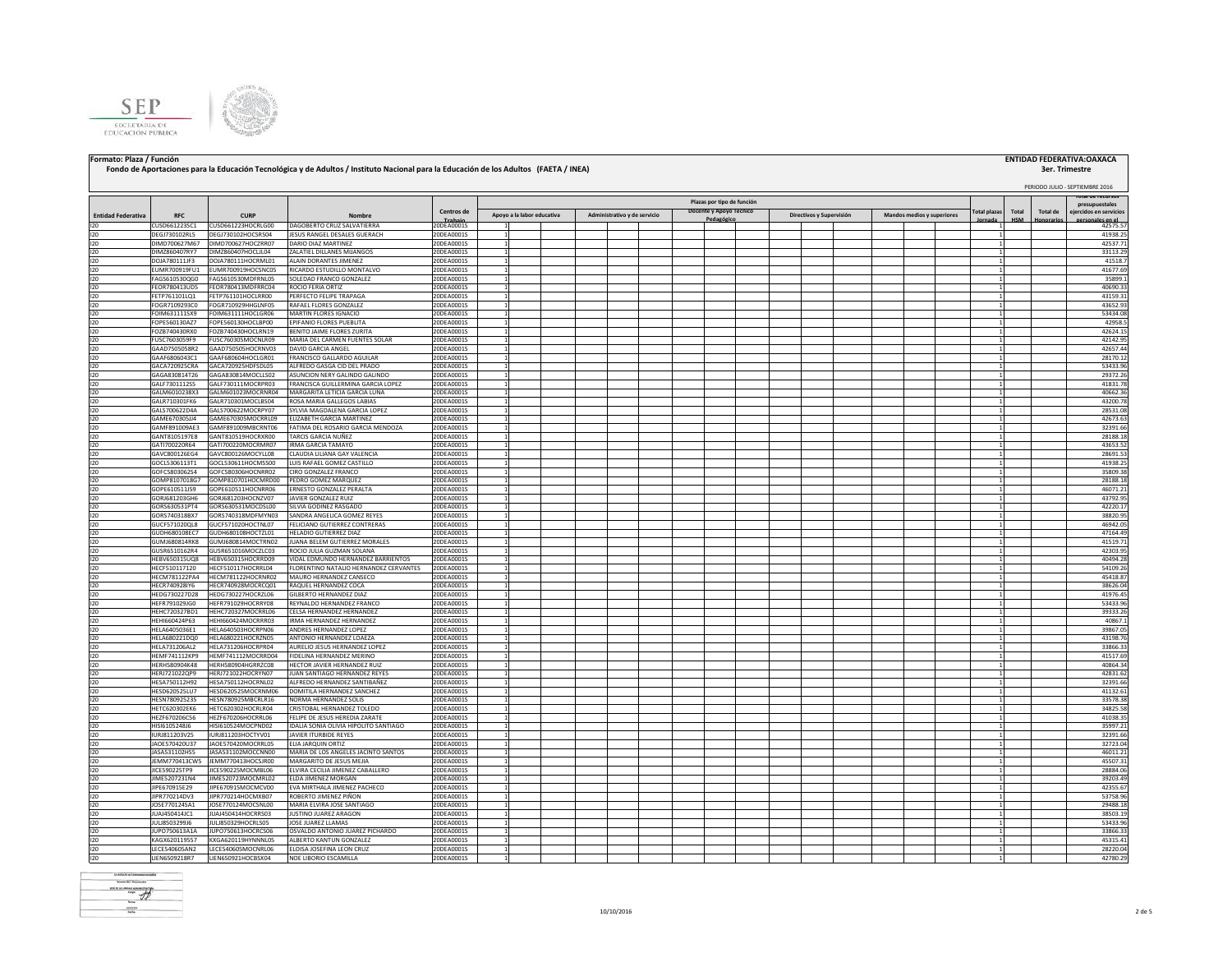



# Formato: Plaza / Función **Processariones para la Educación Tecnológica y de Adultos / Instituto Nacional para la Educación de los Adultos (FAETA / INEA) <b>a computer computer a computer a computer a computer a computer a co**

## **3er. Trimestre**

|                           |                                |                                          |                                                            |                        |                            |  |  |                              |                                                       |  |  |                          |  |                                   |  |                     |       |                 | PERIODO JULIO - SEPTIEMBRE 2016                               |
|---------------------------|--------------------------------|------------------------------------------|------------------------------------------------------------|------------------------|----------------------------|--|--|------------------------------|-------------------------------------------------------|--|--|--------------------------|--|-----------------------------------|--|---------------------|-------|-----------------|---------------------------------------------------------------|
|                           |                                |                                          |                                                            | Centros de             |                            |  |  |                              | Plazas por tipo de función<br>Docente y Apoyo Técnico |  |  |                          |  |                                   |  | <b>Total plazas</b> | Total | <b>Total de</b> | rotar de recursos<br>presupuestales<br>ejercidos en servicios |
| <b>Entidad Federativa</b> | <b>RFC</b>                     | <b>CURP</b>                              | Nombre                                                     | Trabaio<br>20DE A0001S | Apoyo a la labor educativa |  |  | Administrativo y de servicio | Pedagógi                                              |  |  | Directivos y Supervisión |  | <b>Mandos medios y superiores</b> |  |                     |       |                 | les en el                                                     |
| 120<br>120                | CUSD661223SC1                  | CUSD661223HOCRLG00<br>DEGJ730102HOCSRS04 | DAGOBERTO CRUZ SALVATIERRA                                 | 20DEA0001S             | $\mathbf{1}$               |  |  |                              |                                                       |  |  |                          |  |                                   |  |                     |       |                 | 42575.57<br>41938.2                                           |
| 120                       | DEGJ730102RL5<br>DIMD700627M67 | DIMD700627HOCZRR07                       | <b>IESUS RANGEL DESALES GUERACH</b><br>DARIO DIAZ MARTINEZ | 20DEA0001S             | $\mathbf{1}$               |  |  |                              |                                                       |  |  |                          |  |                                   |  |                     |       |                 | 42537.71                                                      |
| 120                       | DIMZ860407RY7                  | DIMZ860407HOCLJL04                       | ZALATIEL DILLANES MIJANGOS                                 | 20DEA0001S             | $\mathbf{1}$               |  |  |                              |                                                       |  |  |                          |  |                                   |  |                     |       |                 | 33113.29                                                      |
| 120                       | DOJA780111JF3                  | DOJA780111HOCRML01                       | ALAIN DORANTES JIMENEZ                                     | 20DEA0001S             | $\mathbf{1}$               |  |  |                              |                                                       |  |  |                          |  |                                   |  |                     |       |                 | 41518.7                                                       |
| 120                       | EUMR700919FU1                  | EUMR700919HOCSNC05                       | RICARDO ESTUDILLO MONTALVO                                 | 20DEA0001S             | $\mathbf{1}$               |  |  |                              |                                                       |  |  |                          |  |                                   |  |                     |       |                 | 41677.69                                                      |
| 120                       | FAGS610530QG0                  | FAGS610530MDFRNL05                       | SOLEDAD FRANCO GONZALEZ                                    | 20DEA0001S             | <sup>1</sup>               |  |  |                              |                                                       |  |  |                          |  |                                   |  |                     |       |                 | 35899.1                                                       |
| 120                       | FEOR780413UD5                  | FEOR780413MDFRRC04                       | ROCIO FERIA ORTIZ                                          | 20DEA0001S             | <sup>1</sup>               |  |  |                              |                                                       |  |  |                          |  |                                   |  | $\mathbf{1}$        |       |                 | 40690.33                                                      |
| 120                       | FFTP761101LO1                  | FETP761101HOCLRR00                       | PERFECTO FELIPE TRAPAGA                                    | 20DEA0001S             | $\overline{1}$             |  |  |                              |                                                       |  |  |                          |  |                                   |  |                     |       |                 | 43159.31                                                      |
| 120                       | FOGR7109293C0                  | FOGR710929HHGLNF05                       | RAFAEL FLORES GONZALEZ                                     | 20DEA0001S             | 1                          |  |  |                              |                                                       |  |  |                          |  |                                   |  |                     |       |                 | 43652.93                                                      |
| 120                       | FOIM631111SX9                  | OIM631111HOCLGR06                        | MARTIN FLORES IGNACIO                                      | 20DEA0001S             |                            |  |  |                              |                                                       |  |  |                          |  |                                   |  |                     |       |                 | 53434.08                                                      |
| 120                       | FOPE560130AZ7                  | FOPE560130HOCLBP00                       | EPIFANIO FLORES PUEBLITA                                   | 20DEA0001S             |                            |  |  |                              |                                                       |  |  |                          |  |                                   |  |                     |       |                 | 42958.                                                        |
| 120                       | FOZB740430RX0                  | FOZB740430HOCLRN19                       | BENITO JAIME FLORES ZURITA                                 | 20DEA0001S             | 1                          |  |  |                              |                                                       |  |  |                          |  |                                   |  |                     |       |                 | 42624.19                                                      |
| 120                       | FUSC7603059F9                  | FUSC760305MOCNLR09                       | MARIA DEL CARMEN FUENTES SOLAR                             | 20DEA0001S             | $\overline{1}$             |  |  |                              |                                                       |  |  |                          |  |                                   |  | $\mathbf{1}$        |       |                 | 42142.99                                                      |
| 120                       | GAAD7505058R2                  | GAAD750505HOCRNV03                       | DAVID GARCIA ANGEL                                         | 20DEA0001S             | $\mathbf{1}$               |  |  |                              |                                                       |  |  |                          |  |                                   |  | $\mathbf{1}$        |       |                 | 42657.44                                                      |
| 120                       | GAAF6806043C1                  | GAAF680604HOCLGR01                       | RANCISCO GALLARDO AGUILAR                                  | 20DEA0001S             | $\mathbf{1}$               |  |  |                              |                                                       |  |  |                          |  |                                   |  | 1                   |       |                 | 28170.1                                                       |
| 120                       | GACA720925CRA                  | GACA720925HDFSDL05                       | ALFREDO GASGA CID DEL PRADO                                | 20DEA0001S             | $\mathbf{1}$               |  |  |                              |                                                       |  |  |                          |  |                                   |  |                     |       |                 | 53433.96                                                      |
|                           | GAGA830814T26                  | GAGA830814MOCLLS02                       | ASUNCION NERY GALINDO GALINDO                              | 20DEA0001S             | $\mathbf{1}$               |  |  |                              |                                                       |  |  |                          |  |                                   |  |                     |       |                 | 29372.2                                                       |
| 120                       |                                |                                          |                                                            |                        | 1                          |  |  |                              |                                                       |  |  |                          |  |                                   |  |                     |       |                 | 41831.7                                                       |
| 120<br>120                | GALF7301112S5                  | GALF730111MOCRPR03                       | FRANCISCA GUILLERMINA GARCIA LOPEZ                         | 20DEA0001S             | $\mathbf{1}$               |  |  |                              |                                                       |  |  |                          |  |                                   |  |                     |       |                 |                                                               |
|                           | GALM6010238X3                  | GALM601023MOCRNR04                       | MARGARITA LETICIA GARCIA LUNA                              | 20DEA0001S             |                            |  |  |                              |                                                       |  |  |                          |  |                                   |  |                     |       |                 | 40662.36                                                      |
| 120                       | GALR710301FK6                  | GALR710301MOCLBS04                       | ROSA MARIA GALLEGOS LABIAS                                 | 20DEA0001S             | $\mathbf{1}$               |  |  |                              |                                                       |  |  |                          |  |                                   |  |                     |       |                 | 43200.78                                                      |
| 120                       | GALS700622D4A<br>GAME670305114 | GALS700622MOCRPY07<br>GAME670305MOCRRL09 | SYLVIA MAGDALENA GARCIA LOPEZ                              | 20DEA0001S             | -1                         |  |  |                              |                                                       |  |  |                          |  |                                   |  |                     |       |                 | 28531.08                                                      |
| 120<br>120                |                                |                                          | ELIZABETH GARCIA MARTINEZ                                  | 20DEA0001S             | $\mathbf{1}$               |  |  |                              |                                                       |  |  |                          |  |                                   |  |                     |       |                 | 42673.63                                                      |
| 120                       | GAMF891009AE3                  | GAMF891009MBCRNT06                       | FATIMA DEL ROSARIO GARCIA MENDOZA                          | 20DEA0001S             | <sup>1</sup>               |  |  |                              |                                                       |  |  |                          |  |                                   |  | $\mathbf{1}$        |       |                 | 32391.66                                                      |
|                           | GANT8105197E8                  | GANT810519HOCRXR00                       | <b><i>FARCIS GARCIA NUÑEZ</i></b>                          | 20DEA0001S             | 1                          |  |  |                              |                                                       |  |  |                          |  |                                   |  | 1                   |       |                 | 28188.18                                                      |
| 120                       | GATI700220R64                  | GATI700220MOCRMR07                       | RMA GARCIA TAMAYO                                          | 20DEA0001S             | -1.                        |  |  |                              |                                                       |  |  |                          |  |                                   |  | 1                   |       |                 | 43653.52                                                      |
| 120<br>120                | GAVC800126EG4                  | GAVC800126MOCYLL08                       | LAUDIA LILIANA GAY VALENCIA                                | 20DEA0001S             |                            |  |  |                              |                                                       |  |  |                          |  |                                   |  |                     |       |                 | 28691.5                                                       |
|                           | GOCL5306113T1                  | GOCL530611HOCMSS00                       | UIS RAFAEL GOMEZ CASTILLO                                  | 20DEA0001S             |                            |  |  |                              |                                                       |  |  |                          |  |                                   |  |                     |       |                 | 41938.2                                                       |
| 120                       | GOFC5803062S4                  | GOFC580306HOCNRR02                       | CIRO GONZALEZ FRANCO                                       | 20DEA0001S             |                            |  |  |                              |                                                       |  |  |                          |  |                                   |  |                     |       |                 | 35809.38                                                      |
| 120<br>120                | GOMP8107018G7                  | GOMP810701HOCMRD00                       | PEDRO GOMEZ MARQUEZ                                        | 20DEA0001S             | $\mathbf{1}$               |  |  |                              |                                                       |  |  |                          |  |                                   |  |                     |       |                 | 28188.18                                                      |
|                           | GOPE610511J59                  | GOPE610511HOCNRR06                       | ERNESTO GONZALEZ PERALTA                                   | 20DEA0001S             | $\mathbf{1}$               |  |  |                              |                                                       |  |  |                          |  |                                   |  | $\mathbf{1}$        |       |                 | 46071.21                                                      |
|                           | GORJ681203GH6                  | GORJ681203HOCNZV07                       | <b>IAVIER GONZALEZ RUIZ</b>                                | 20DEA0001S             | $\mathbf{1}$               |  |  |                              |                                                       |  |  |                          |  |                                   |  | $\mathbf{1}$        |       |                 | 43792.99                                                      |
|                           | GORS630531PT4                  | GORS630531MOCDSL00                       | <b>II VIA GODINEZ RASGADO</b>                              | 20DEA0001S             | $\mathbf{1}$               |  |  |                              |                                                       |  |  |                          |  |                                   |  |                     |       |                 | 42220.1                                                       |
|                           | GORS740318BX7                  | GORS740318MDFMYN03                       | <b>SANDRA ANGELICA GOMEZ REYES</b>                         | 20DEA0001S             | 1                          |  |  |                              |                                                       |  |  |                          |  |                                   |  |                     |       |                 | 38820.95                                                      |
| 120                       | GUCF571020QL8                  | GUCF571020HOCTNL07                       | ELICIANO GUTIERREZ CONTRERAS                               | 20DEA0001S             | 1                          |  |  |                              |                                                       |  |  |                          |  |                                   |  |                     |       |                 | 46942.05                                                      |
| 120                       | GUDH680108EC7                  | GUDH680108HOCTZL01                       | HELADIO GUTIERREZ DIAZ                                     | 20DEA0001S             | $\mathbf{1}$               |  |  |                              |                                                       |  |  |                          |  |                                   |  |                     |       |                 | 47164.49                                                      |
| 120                       | GUMJ680814RK8                  | GUMJ680814MOCTRN02                       | JUANA BELEM GUTIERREZ MORALES                              | 20DEA0001S             | $\mathbf{1}$               |  |  |                              |                                                       |  |  |                          |  |                                   |  |                     |       |                 | 41519.71                                                      |
| 120                       | GUSR6510162R4                  | GUSR651016MOCZLC03                       | ROCIO JULIA GUZMAN SOLANA                                  | 20DEA0001S             | $\mathbf{1}$               |  |  |                              |                                                       |  |  |                          |  |                                   |  |                     |       |                 | 42303.95                                                      |
| 120                       | HEBV650315UQ8                  | HEBV650315HOCRRD09                       | VIDAL EDMUNDO HERNANDEZ BARRIENTOS                         | 20DEA0001S             | $\mathbf{1}$               |  |  |                              |                                                       |  |  |                          |  |                                   |  | $\mathbf{1}$        |       |                 | 40494.28                                                      |
| 120                       | HECF510117120                  | HECF510117HOCRRL04                       | LORENTINO NATALIO HERNANDEZ CERVANTES                      | 20DEA0001S             | <sup>1</sup>               |  |  |                              |                                                       |  |  |                          |  |                                   |  |                     |       |                 | 54109.26                                                      |
| 120                       | HECM781122PA4                  | HECM781122HOCRNR02                       | MAURO HERNANDEZ CANSECO                                    | 20DEA0001S             | $\overline{1}$             |  |  |                              |                                                       |  |  |                          |  |                                   |  |                     |       |                 | 45418.87                                                      |
| 120                       | HECR740928IY6                  | HECR740928MOCRCQ01                       | RAQUEL HERNANDEZ COCA                                      | ODEA0001S              | $\mathbf{1}$               |  |  |                              |                                                       |  |  |                          |  |                                   |  |                     |       |                 | 38626.04                                                      |
| 120                       | HEDG730227D28                  | HEDG730227HOCRZL06                       | <b>GILBERTO HERNANDEZ DIAZ</b>                             | 20DEA0001S             |                            |  |  |                              |                                                       |  |  |                          |  |                                   |  |                     |       |                 | 41976.45                                                      |
| 120                       | HEFR791029JG0                  | HEFR791029HOCRRY08                       | REYNALDO HERNANDEZ FRANCO                                  | 20DEA0001S             |                            |  |  |                              |                                                       |  |  |                          |  |                                   |  | $\mathbf{1}$        |       |                 | 53433.96                                                      |
| 120                       | HEHC720327BD1                  | HEHC720327MOCRRL06                       | CELSA HERNANDEZ HERNANDEZ                                  | 20DEA0001S             | $\mathbf{1}$               |  |  |                              |                                                       |  |  |                          |  |                                   |  | $\mathbf{1}$        |       |                 | 39333.26                                                      |
| 120                       | HEHI660424P63                  | HEHI660424MOCRRR03                       | IRMA HERNANDEZ HERNANDEZ                                   | 20DEA0001S             | $\mathbf{1}$               |  |  |                              |                                                       |  |  |                          |  |                                   |  | $\overline{1}$      |       |                 | 40867.                                                        |
| 120                       | HELA6405036E1                  | HELA640503HOCRPN06                       | ANDRES HERNANDEZ LOPEZ                                     | 20DEA0001S             | $\mathbf{1}$               |  |  |                              |                                                       |  |  |                          |  |                                   |  | $\mathbf{1}$        |       |                 | 39867.09                                                      |
| 120                       | HELA680221DQ0                  | HELA680221HOCRZN05                       | ANTONIO HERNANDEZ LOAEZA                                   | 20DEA0001S             | $\overline{1}$             |  |  |                              |                                                       |  |  |                          |  |                                   |  | 1                   |       |                 | 43198.7                                                       |
| 120                       | <b>HELA731206AL2</b>           | HELA731206HOCRPR04                       | AURELIO JESUS HERNANDEZ LOPEZ                              | 20DEA0001S             | $\overline{1}$             |  |  |                              |                                                       |  |  |                          |  |                                   |  | 1                   |       |                 | 33866.33                                                      |
| 120                       | HEMF741112KP9                  | HEMF741112MOCRRD04                       | IDELINA HERNANDEZ MERINO                                   | 20DEA0001S             | 1                          |  |  |                              |                                                       |  |  |                          |  |                                   |  | 1                   |       |                 | 41517.69                                                      |
| 120                       | HERH580904K48                  | HERH580904HGRRZC08                       | <b>IECTOR JAVIER HERNANDEZ RUIZ</b>                        | 20DEA0001S             | $\mathbf{1}$               |  |  |                              |                                                       |  |  |                          |  |                                   |  |                     |       |                 | 40864.3                                                       |
|                           | HERJ721022QP9                  | HERJ721022HOCRYN07                       | IUAN SANTIAGO HERNANDEZ REYES                              | 20DEA0001S             | 1                          |  |  |                              |                                                       |  |  |                          |  |                                   |  |                     |       |                 | 42831.62                                                      |
|                           | HESA750112H92                  | HESA750112HOCRNL02                       | ALFREDO HERNANDEZ SANTIBAÑEZ                               | 20DEA0001S             | $\mathbf{1}$               |  |  |                              |                                                       |  |  |                          |  |                                   |  |                     |       |                 | 32391.66                                                      |
| 120                       | <b>HESD620525LU7</b>           | HESD620525MOCRNM06                       | DOMITILA HERNANDEZ SANCHEZ                                 | 20DEA0001S             | 1                          |  |  |                              |                                                       |  |  |                          |  |                                   |  |                     |       |                 | 41132.61                                                      |
|                           | HESN780925235                  | HESN780925MBCRLR16                       | NORMA HERNANDEZ SOLIS                                      | 20DEA0001S             | <sup>1</sup>               |  |  |                              |                                                       |  |  |                          |  |                                   |  | $\mathbf{1}$        |       |                 | 33578.38                                                      |
|                           | HETC620302EK6                  | HETC620302HOCRLR04                       | CRISTOBAL HERNANDEZ TOLEDO                                 | 20DEA0001S             | $\overline{1}$             |  |  |                              |                                                       |  |  |                          |  |                                   |  | $\mathbf{1}$        |       |                 | 34825.5                                                       |
|                           | HEZE670206C56                  | HEZE670206HOCRRL06                       | ELIPE DE JESUS HEREDIA ZARATE                              | 20DEA0001S             | $\overline{1}$             |  |  |                              |                                                       |  |  |                          |  |                                   |  |                     |       |                 | 41038.3                                                       |
|                           | HISI6105248J6                  | HISI610524MOCPND02                       | IDALIA SONIA OLIVIA HIPOLITO SANTIAGO                      | 20DEA0001S             | <sup>1</sup>               |  |  |                              |                                                       |  |  |                          |  |                                   |  |                     |       |                 | 35997.21                                                      |
| 120<br>120                | URJ811203V25                   | URJ811203HOCTYV01                        | JAVIER ITURBIDE REYES                                      | ODEA0001S              | $\mathbf{1}$               |  |  |                              |                                                       |  |  |                          |  |                                   |  |                     |       |                 | 32391.66                                                      |
|                           | A0E570420U37                   | IAOE570420MOCRRL05                       | ELIA JARQUIN ORTIZ                                         | 20DEA0001S             |                            |  |  |                              |                                                       |  |  |                          |  |                                   |  |                     |       |                 | 32723.04                                                      |
|                           | JASA531102HS5                  | JASA531102MOCCNN00                       | MARIA DE LOS ANGELES JACINTO SANTOS                        | 20DEA0001S             |                            |  |  |                              |                                                       |  |  |                          |  |                                   |  | $\mathbf{1}$        |       |                 | 46011.21                                                      |
|                           | EMM770413CW5                   | JEMM770413HOCSJR00                       | MARGARITO DE JESUS MEJIA                                   | 20DEA0001S             | $\mathbf{1}$               |  |  |                              |                                                       |  |  |                          |  |                                   |  | 1                   |       |                 | 45507.31                                                      |
|                           | JICE590225TP9                  | JICE590225MOCMBL06                       | ELVIRA CECILIA JIMENEZ CABALLERO                           | 20DEA0001S             | $\overline{1}$             |  |  |                              |                                                       |  |  |                          |  |                                   |  |                     |       |                 | 28884.06                                                      |
|                           | JIME5207231N4                  | JIME520723MOCMRL02                       | ELDA JIMENEZ MORGAN                                        | 20DEA0001S             | $\overline{1}$             |  |  |                              |                                                       |  |  |                          |  |                                   |  |                     |       |                 | 39203.49                                                      |
|                           | JIPE670915E29                  | JIPE670915MOCMCV00                       | EVA MIRTHALA JIMENEZ PACHECO                               | 20DEA0001S             | $\mathbf{1}$               |  |  |                              |                                                       |  |  |                          |  |                                   |  |                     |       |                 | 42355.67                                                      |
|                           | JIPR770214DV3                  | JIPR770214HOCMXB07                       | ROBERTO JIMENEZ PIÑON                                      | 20DEA0001S             | 1                          |  |  |                              |                                                       |  |  |                          |  |                                   |  |                     |       |                 | 53758.96                                                      |
|                           |                                |                                          |                                                            |                        | 1                          |  |  |                              |                                                       |  |  |                          |  |                                   |  |                     |       |                 |                                                               |
|                           | JOSE770124SA1                  | JOSE770124MOCSNL00                       | MARIA ELVIRA JOSE SANTIAGO                                 | 20DEA0001S             |                            |  |  |                              |                                                       |  |  |                          |  |                                   |  |                     |       |                 | 29488.1                                                       |
|                           | JUAJ450414JC1                  | JUAJ450414HOCRRS03                       | JUSTINO JUAREZ ARAGON                                      | 20DEA0001S             | $\mathbf{1}$               |  |  |                              |                                                       |  |  |                          |  |                                   |  |                     |       |                 | 38503.1                                                       |
|                           | JULJ8503299J6                  | JULJ850329HOCRLS05                       | JOSE JUAREZ LLAMAS                                         | 20DEA0001S             | $\mathbf{1}$               |  |  |                              |                                                       |  |  |                          |  |                                   |  |                     |       |                 | 53433.96                                                      |
|                           | IUPO750613A1A                  | JUPO750613HOCRCS06                       | OSVALDO ANTONIO JUAREZ PICHARDO                            | 20DEA0001S             | <sup>1</sup>               |  |  |                              |                                                       |  |  |                          |  |                                   |  |                     |       |                 | 33866.3                                                       |
|                           | KAGX620119557                  | KXGA620119HYNNNL05                       | ALBERTO KANTUN GONZALEZ                                    | 20DEA0001S             | -1                         |  |  |                              |                                                       |  |  |                          |  |                                   |  |                     |       |                 | 45315.41                                                      |
| 120                       | LECE540605AN2                  | LECE540605MOCNRL06                       | <b>FLOISA IOSEFINA LEON CRUZ</b>                           | 20DE A0001S            | 1                          |  |  |                              |                                                       |  |  |                          |  |                                   |  |                     |       |                 | 28220.04                                                      |
| 120                       | LIEN6509218R7                  | LIEN650921HOCBSX04                       | NOE LIBORIO ESCAMILLA                                      | 20DEA0001S             | 1                          |  |  |                              |                                                       |  |  |                          |  |                                   |  |                     |       |                 | 42780.29                                                      |

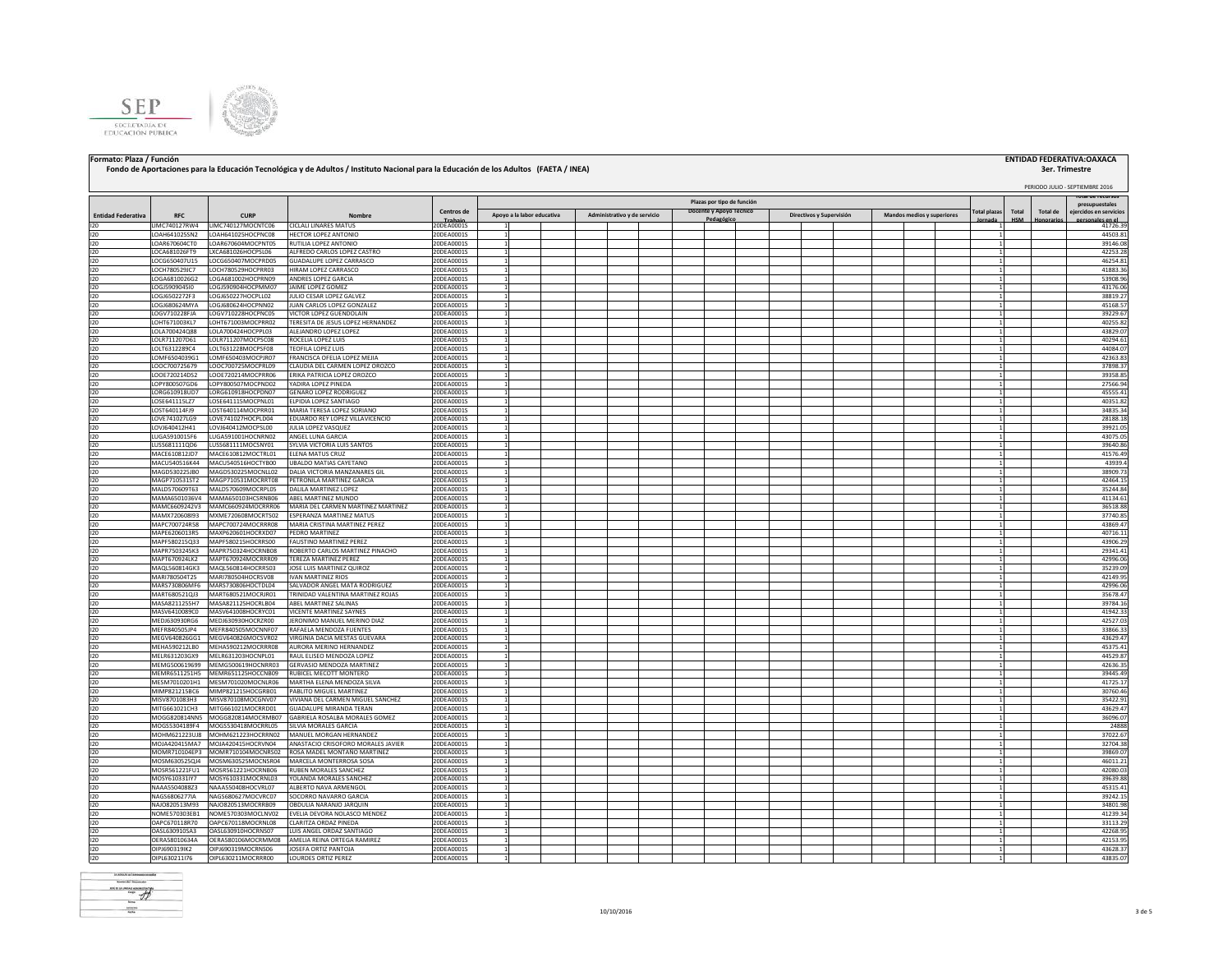



### **Fondo de Aportaciones para la Educación Tecnológica y de Adultos / Instituto Nacional para la Educación de los Adultos (FAETA / INEA)**

### **Formato: Plaza / Función ENTIDAD FEDERATIVA:OAXACA**

# **3er. Trimestre**<br>**PERIODO JULIO - SEPTIEMBRE 2016**

### **Total plazas Jornada Total HSM Total de Honorarios Total de recursos presupuestales idos en servi personales en el periodo (2) Entidad Federativa RFC CURP Nombre Centros de** 20DEA0001S **Plazas por tipo de función Apoyo a la labor educativa Administrativo y de servicio Docente y Apoyo Técnico Pedagógico Directivos y Supervisión Mandos medios y superiores** I20 LIMC740127RW4 LIMC740127MOCNTC06 CICLALI LINARES MATUS 200EA0001S | 1 | | | | | | | | | | | | | | | | 41726.39 I20 LOAH641025SN2 LOAH641025HOCPNC08 HECTOR\_LOPEZ\_ANTONIO 20DEA0001S 1 2 1 1 2 20DEA0001S 1 2 20DEA0001S 1 2 20DEA0001S 1 2 20DEA0001S 20 20DEA0001S 20 20DEA0001S 20 200EA0001 200 200 200EA0001 200EA0001 200EA0001 201 2 2 I20 LOAR670604CT0 LOAR670604MOCPNT05 RUTILIALOPEZ ANTONIO 20DEA0001S 1 | | | | | | | | | | | | | | | | 39146.08 I20 LOCA681026FT9 LXCA681026HOCPSL06 ALFREDO CARLOS LOPEZ CASTRO 20DEA0001S 1 1 42253.28 I20 LOCG650407U15 LOCG650407MOCPRD05 GUADALUPE LOPEZ CARRASCO 20DEA0001S 1 1 46254.81 I20 **LOCH780529JC7 LOCH780529HOCPRR03 HIRAM LOPEZ CARRASCO** 20DEA0001S 1 | | | | | | | | | | | | | | | | | 41883.36| I20 LOGA6810026G2 LOGA681002HOCPRN09 ANDRES LOPEZ GARCIA 20DEA0001S 1 1 53908.96 I20 LOGJ5909045I0 LOGJ590904HOCPMM07 JAIMELOPEZ GOMEZ 20DEA0001S 1 | | | | | | | | | | | | | | | | | 43176.06 I20 LOGJ6502272F3 LOGJ650227HOCPLL02 JULIO CESAR LOPEZ GALVEZ 20DEA0001S 1 1 38819.27 I20 LOGJ680624MYA LOGJ680624HOCPNN02 JUAN CARLOS LOPEZ GONZALEZ 20DEA0001S 1 1 45168.57 I20 LOGV710228FJA LOGV710228HOCPNC05 VICTOR LOPEZ GUENDOLAIN 20DEA0001S 1 1 39229.67 I20 LOHT671003KL7 LOHT671003MOCPRR02 TERESITADE.IESUS.LOPEZ.HERNANDEZ |20DEA0001S 1 | | | | | | | | | | | | | | 12014700424Q88 LOLA700424HOCPPL03 ALEJANDRO LOPEZ 200EA00001S 1 200EA0001S 1 1 43829.07<br>1201R711207D61 LOLR711207MOCPSC08 ROCELIALOPEZ LUIS 200EA00001S 1 1 43829.071 1 43229.071 1 402294.61 120 R711207D61 LOLR711207MOCPSC08 ROCELIA LOPEZ LUIS 200EA0001S 1 1 1 40294.61 200EA0001S 1 40294.61 200EA0001S 1 40294.61 200EA0001S 1 40294.61 200EA001S 1 40294.61 200EA0015 1 40294.61 200EA0015 1 40294.61 200EA0015 1 40 I20 LOLT6312289C4 LOLT631228MOCPSF08 TEOFILA LOPEZ LUIS 20DEA0001S 1 1 44084.07 I20 LOMF6504039G1 LOMF650403MOCPJR07 FRANCISCA OFELIA LOPEZ MEJIA 20DEA0001S 1 1 42363.83 I20 LOOC700725679 LOOC700725MOCPRL09 CLAUDIA DEL CARMEN LOPEZ OROZCO 20DEA0001S 1 1 37898.37 I20 LOOE720214DS2 LOOE720214MOCPRR06 ERIKA PATRICIA LOPEZ OROZCO 20DEA0001S 1 1 39358.85 I20 LOPY800507GD6 LOPY800507MOCPND02 YADIRA LOPEZ PINEDA 20DEA0001S 1 1 27566.94 LORG610918HOCPDN07 GENARO LOPEZ RODRIGUEZ I20 LOSE641115LZ7 LOSE641115MOCPNL01 ELPIDIA LOPEZ SANTIAGO 20DEA0001S 1 1 40351.82 IOST640114F9 LOST640114MOCPRR01 MARIATERESA LOPEZ ORIANO 2000-00001S 1 1 1 1 1 1 1 1 1 1 1 1 1 1 2 1 2835.343<br>IOVE741027LG9 LOVE741027HOCPLDOM EDUARDO REYLOPEZVILLAVICENCIO 2000-040001S 1 1 1 1 1 1 1 1 1 1 281.88.11 281 I20 LOVE741027LG9 LOVE741027HOCPLD04 EDUARDO REY LOPEZ VILLAVICENCIO 20DEA0001S 1 1 28188.18 LOVJ640412MOCPSL00 JULIA LOPEZ VASQUEZ I20 LUGA5910015F6 LUGA591001HOCNRN02 ANGEL LUNA GARCIA 20DEA0001S 1 1 43075.05 I20 LUSS681111QD6 LUSS681111MOCSNY01 SYLVIA VICTORIA LUIS SANTOS 20DEA0001S 1 1 39640.86 MACE610812JD7 MACE610812MOCTRL01 ELENA MATUS CRUZ 20DEA 0001S 1<br>MACUS40516K44 MACUS40516HOCTYB00 UBALDO MATIAS CAYETANO 20DEA0001S 1 200EA0001S 1 43939.html 1 41576.49 I20 MACU540516K44 MACU540516HOCTYB00 UBALDO MATIAS CAYETANO 20DEA0001S 1 1 43939.4 I20 MAGD530225JB0 MAGD530225MOCNLL02 |DALIA VICTORIA MANZANARES GIL | | | | | | | | | | | | | | | | | 38909.73 I20 MAGP710531ST2 MAGP710531MOCRRT08 PETRONILA MARTINEZ GARCIA 20DEA0001S 1 1 42464.15 I20 MALD570609T63 MALD570609MOCRPL05 DALILA MARTINEZ LOPEZ 20DEA00015<br>I20 MAMA6501036V4 MAMA650103HCSRNB06 ABEL MARTINEZ MUNDO 20DEA00015 I20 MAMA6501036V4 MAMA650103HCSRNB06 ABEL MARTINEZ MUNDO 20DEA0001S 1 1 41134.61 MAMAC660924MOCRRROG MAARIA DEL CARMEN MARTINEZ MARTINEZ I20 MAMX720608I93 MXME720608MOCRTS02 ESPERANZA MARTINEZ MATUS 20DEA0001S 1 1 37740.85 MAPC700724R58 MAPC700724MOCRRR08 MARIA CRISTINA MARTINEZ PEREZ 20DEA0001S 1 1 43869.47 MAPE200613RS MAPC700724R58 MAPC700724R58 MAPC700724R58 MAPC700724R58 MAPC700724R58 MAPC700724R58 MARXP620601HOCRXR07 PEDRO MARTINEZ 20D NAPE6200013RS MAVEGOGOINCOXXOO PEDRO MARTINEZ 2005<br>AAABE6200116023 MAABE62011EMOCRADO ENJIETING MARTINEZ 2005 1 2005AA0001S 1 1 40716.11 1 40716.11 1 40716.11 10 I20 MAPF580215Q33 MAPF580215HOCRRS00 FAUSTINO MARTINEZ PEREZ 20DEA0001S 1 | | | | | | | | | | | | | | | | | 43906.29 IMAPR750324LX2 MAPR750324HOCRNB08 ROBERTO CARLOS MARTINEZ PINACHO 2006A0001S 1 1 20341.41 20340.<br>IMAPT670924Lk2 MAPT670924MOCRNB09 TEREZA MARTINEZ PIEREZ AMARTINEZ PINACHO 2006A0001S 1 20206.0001S 1 29496.00 MAPT670924LK2 MAPT670924MOCRRR09 TEREZA MARTINEZ PEREZ 200EA0001S 20DEA0001S<br>MAQL560814GK3 MAQL560814HOCRRS03 JOSE LUIS MARTINEZ QUIROZ 200EA0001S I20 MAQL560814GK3 MAQL560814HOCRRS03 JOSE LUIS MARTINEZ QUIROZ 20DEA0001S 1 1 35239.09 I20 MARI780504T25 MARI780504HOCRSV08 IVAN MARTINEZ RIOS 20DEA0001S 1 1 42149.95 I20 MARS730806MF6 MARS730806HOCTDL04 SALVADOR ANGEL MATA RODRIGUEZ 20DEA0001S 1 1 42996.06 I20 MART680521QJ3 MART680521MOCRJR01 TRINIDAD VALENTINA MARTINEZ ROJAS 20DEA0001S 1 1 35678.47 I20 MASA8211255H7 MASA821125HOCRLB04 ABEL MARTINEZ SALINAS 20DEA0001S 1 1 39784.16 MASV641008HOCRYC01 VICENTE MARTINEZ SAYNES I20 MEDJ630930RG6 MEDJ630930HOCRZR00 JERONIMO MANUEL MERINO DIAZ 20DEA0001S 1 1 42527.03 I20 MEFR840505JP4 MEFR840505MOCNNF07 RAFAELA MENDOZA FUENTES 20DEA0001S 1 1 33866.33 MEGV640826GG1 MEGV640826MOCSVR02 VIRGINIA DACIA MESTAS GUEVARA 20DEA0001S 1 1 1 43629.47<br>MEHA590212LB0 MEHA590212MOCRRR08 AURORA MERINO HERNANDEZ 20DEA0001S 1 1 436375.47 1 435375.47 1 435375.47 453 I20 MEHA590212LB0 MEHA590212MOCRRR08 AURORA MERINO HERNANDEZ 20DEA0001S 1 1 45375.41 I20 MELR631203GX9 MELR631203HOCNPL01 RAUL ELISEO MENDOZA LOPEZ 20DEA0001S 1 1 44529.87 I20 MEMG500619699 MEMG500619HOCNRR03 GERVASIO MENDOZA MARTINEZ 20DEA0001S 1 1 42636.35 MEMR6511251H5 MEMR651125HOCCNB09 RUBICEL MECOTT MONTERO 200EA0001S 1 200EA0001S 1 200EA0001S 200EA0001S 200EA0001S 200EA00015 200EA00015 200EA00015 200EA00015 200EA00015 200EA00015 200EA0001 200EA0001 200EA0001 200EA0001 2 MESM7010201H1 MESM701020MOCNLR06 MARTHAELENNOMESUNG 12002-6 1020-00001S 1 1 1 1 41725.1725.1726 100001 1 1 41725.1725.174<br>MIMP821215BC6 MIMP821215HOCGRB01 PABRITO-MIGUELMARTINEZ 2005-00001S 1 1 1 1 1 1 1 1 1 1 1 1 1 1 1 1 MIMP821215BC6 MIMP821215HOCGRB01 PABLITO MIGUEL MARTINEZ ANSVOOLGSHA MISV87OLGOMVOC VIVIANA DEL CARMEN MIGUEL SANCHEZ ZOOLGOMS 1<br>ANTGEGEDOZICHE MITCHERIDZIMOCERDDOI GLIADALIUPE MIRANDA TERANI 2006FA00001S 1 1 2007 - 2007 - 2007 - 2007 - 20 MITG661021CH3 MITG661021MOCRRD01 GUADALUPE MIRANDA TERAN AOGG820814NN5 MOGG820814MOCRMB07 GABRIELA ROSALBA MORALES GOMEZ 2006<br>AOGG83041418944 MOGG830414MOCRMB07 GNUVA MORALES GABCIA 2006 AOODOS 1 1 1 1 1 1 1 1 1 1 1 1 1 2 1 24881 1 1 1 2 I20 MOGS5304189F4 MOGS530418MOCRRL05 SILVIA MORALES GARCIA 20DEA0001S 1 1 24888 INOHM62122313US MOHM621223-3HOCRRNO2 MANUELMORGAN HERNANDEZ 2005A0001S 1<br>INOIA42704115MAZ MOIA4270415HOCRVN04 ANAKTACID CRISCHORD MORALIFS ANDER 2006FA0001S 1 1 3704-31 2002.67 1 200 MOJA420415MA7 MOJA420415HOCRVN04 ANASTACIO CRISOFORO MORALES JAVIER AOMAR710104FB1 MOMR710104MOCNRS02, ROSA MADELMONTAÑO MARTINEZ ZODEA0001S 1<br>AOSMAGNOS-SONA MOSMAGNOS-VANOCNRS004 MARCEIA MONTFRROSA SOSA 2006-0001S 1 2006-0001S 1 2006-0001S 1 2008-00012 I20 MOSM630525QJ4 MOSM630525MOCNSR04 MARCELA MONTERROSA SOSA 20DEA0001S 1 1 46011.21 I20 MOSR561221FU1 MOSR561221HOCRNB06 RUBEN MORALES SANCHEZ 20DEA0001S 1 1 42080.03 I20 MOSY610331IY7 MOSY610331MOCRNL03 YOLANDA MORALES SANCHEZ 20DEA0001S 1 1 39639.88 INAA550408823 NAAA55048HOCWRL07 ALBERTONAVAARMENCOL 2000-A00001S 1<br>INAGSS60629771A NAAGS6040921-MOCVRC072 SCACCORRO NAVARROCGARCTA 2000-A00001S 1 1 1 45315.41.1 1 45315.41.1 100<br>INAGSS60629771A NAGSS606021-MOCVRC072 SCACCO I20 NAGS6806277IA NAGS680627MOCVRC07 SOCORRO NAVARRO GARCIA 20DEA0001S 1 1 39242.15 I20 NAJO820513M93 NAJO820513MOCRRB09 OBDULIA NARANJO JARQUIN 20DEA0001S 1 1 34801.98 NOME570303EB1 NOME570303MOCLNV02 EVELIA DEVORA NOLASCO MENDEZ 20DEA0001S 1 1 1 41239.34 I20 OAPC670118R70 OAPC670118MOCRNL08 CLARITZA ORDAZ PINEDA 20DEA0001S 1 1 33113.29 -ASLEOSODSA3 OASL630930HOCRNS07 UUSANGELDREACE DESCLARED DESCLARED DESCLARED DESCLARED DESCLARED DESCLARED DES<br>ERASSODDSAA OERASSODDSMOCRNMMOS AMELIARENNA ORTEGA RAMINEZ 200EA00001S 1 DERAS8010634A OERA5801060KORMA08 AMELIA REINA ORTEGA RAMIREZ 2005A0001S 1<br>INDIK9031910KO CIDIK9031910MOCRMV0K IONEFAΩRTI7PANTONA 2005A00001S 1 2006A0001S 1 1 2005A0201 2005A201 2005A20 OIPI690319IK2 OIPI690319MOCRNS06 JOSEFA ORTIZ PANTOJA I20 OIPL630211I76 OIPL630211MOCRRR00 LOURDES ORTIZ PEREZ 20DEA0001S 1 1 43835.07

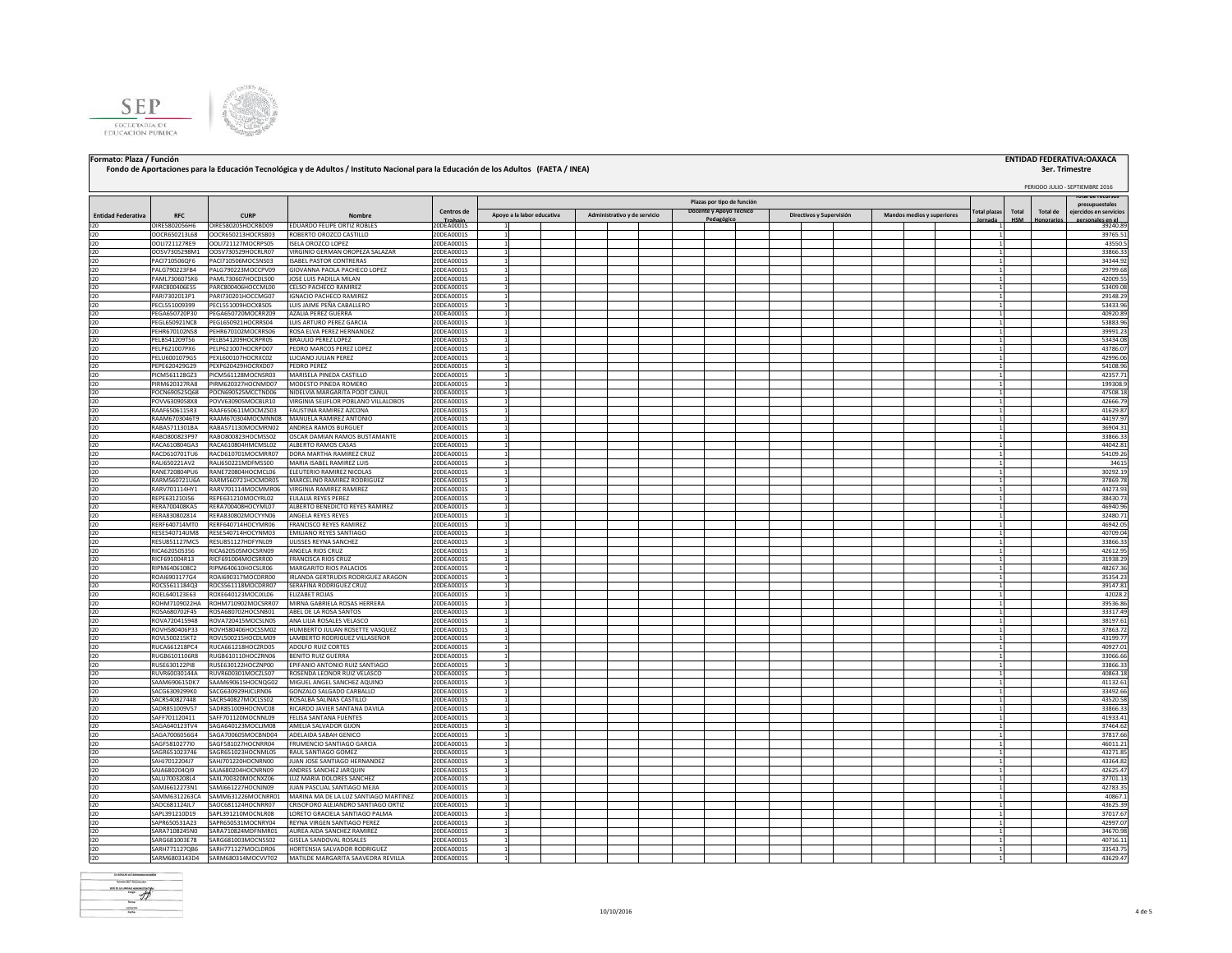



### **Fondo de Aportaciones para la Educación Tecnológica y de Adultos / Instituto Nacional para la Educación de los Adultos (FAETA / INEA)**

### **Formato: Plaza / Función ENTIDAD FEDERATIVA:OAXACA**

# **3er. Trimestre**<br>**PERIODO JULIO - SEPTIEMBRE 2016**

### **Total plazas Jornada Total HSM Total de Honorarios Total de recursos presupuestales idos en servi personales en el periodo (2) Entidad Federativa RFC CURP Nombre Centros de** 20DEA0001S **Plazas por tipo de función Apoyo a la labor educativa Administrativo y de servicio Docente y Apoyo Técnico Pedagógico Directivos y Supervisión Mandos medios y superiores** I20 OIRE5802056H6 OIRE580205HOCRBD09 EDUARDO FELIPE ORTIZ ROBLES 20DEA0001S 1 1 39240.89 I20 OOCR650213L68 OOCR650213HOCRSB03 ROBERTO OROZCO CASTILLO 20DEA0001S 1 1 39765.51 I20 OOLI721127RE9 OOLI721127MOCRPS05 ISELA OROZCO LOPEZ 20DEA0001S 1 1 43550.5 I20 OOSV7305298M1 OOSV730529HOCRLR07 VIRGINIO GERMAN OROPEZA SALAZAR 20DEA0001S 1 1 33866.33 I20 PACI710506QF6 PACI710506MOCSNS03 |ISABELPASTOR CONTRERAS 20DEA0001S 1 2 1 1 2 20DEA0001S 1 2 20DEA0001S 1 2 20DEA0001S 200 21 2 20DEA0001S 200 21 2 200 21 200 21 200 21 200 21 200 21 200 21 200 21 200 21 200 21 200 21 I20 PALG790223FB4 PALG790223MOCCPV09 GIOVANNA PAOLA PACHECO LOPEZ 20DEA0001S 1 | | | | | | | | | | | | | | | | I20 PAML7306075K6 PAML730607HOCDLS00 JIOSELUIS PADILLA MILAN 200EA0001S 1 | | | | | | | | | | | | | | | | 42009.55| I20 PARC800406ES5 PARC800406HOCCML00 CELSO PACHECO RAMIREZ 20DEA0001S 1 | | | | | | | | | | | | | | | | | 53409.08| PARI7302013P1 PARI730201HOCCMG07 IGNACIO PACHECO RAMIREZ 20DEA0001S 1<br>PECLS51009399 PECLS51009HOCXBS05 LUISJAIME PEÑA CABALLERO 20DEA0001S 1 1 1 1 29148.29 I20 PECL551009399 PECL551009HOCXBS05 LUIS JAIME PEÑA CABALLERO 20DEA0001S 1 1 53433.96 I20 PEGA650720P30 PEGA650720MOCRRZ09 AZALIA PEREZ GUERRA 20DEA0001S 1 1 40920.89 I20 PEGL650921NC8 PEGL650921HOCRRS04 LUIS ARTURO PEREZ GARCIA 20DEA0001S 1 1 53883.96 I20 PEHR670102NS8 PEHR670102MOCRRS06 ROSA ELVA PEREZ HERNANDEZ 20DEA0001S 1 1 39991.23 PELB541209TS6 PELB541209HOCRPR05 BRAULIO PEREZ LOPEZ 20DEA0001S 1 20DEA0001S 1 1 1 53434.0<br>PELP621007PX6 PELP621007HOCRPD07 PEDRO MARCOS PEREZ LOPEZ 20DEA0001S 1 1 1 1 43786.0 I20 PELP621007PX6 PELP621007HOCRPD07 PEDRO MARCOS PEREZ LOPEZ 20DEA0001S | 1 | | | | | | | | | | | | | | | | 43786.07 I20 PELU6001079G5 PEXL600107HOCRXC02 LUCIANO JULIAN PEREZ 20DEA0001S 1 1 42996.06 I20 PEPE620429G29 PEXP620429HOCRXD07 PEDRO PEREZ 20DEA0001S 1 1 54108.96 I20 PICM561128GZ3 PICM561128MOCNSR03 MARISELA PINEDA CASTILLO 20DEA0001S 1 1 42357.71 I20 PIRM620327RA8 PIRM620327HOCNMD07 MODESTO PINEDA ROMERO 20DEA0001S 1 1 199308.9 POCN690525Q68 POCN690525MCCTND06 NIDELVIA MARGARITA POOT CANU POVV6309058X8 POVV630905MOCBLR10 VIRGINIA SELIFLOR POBLANO VILLALOBOS 200EA0001S 1 1 1 1 1 1 1 1 1 1 1 1 1 1 1 I20 RAAF6506115R3 RAAF650611MOCMZS03 FAUSTINA RAMIREZ AZCONA 20DEA0001S 1 1 41629.87 I20 RAAM6703046T9 RAAM670304MOCMNN08 MANUELA RAMIREZ ANTONIO 20DEA0001S 1 1 44197.97 RABA571130MOCMRN02 ANDREA RAMOS BURGU I20 RABO800823P97 RABO800823HOCMSS02 OSCAR DAMIAN RAMOS BUSTAMANTE 20DEA0001S 1 1 33866.33 I20 RACA610804GA3 RACA610804HMCMSL02 ALBERTO RAMOS CASAS 20DEA0001S 1 1 44042.81 RACD610701TU6 RACD610701MOCMRR07 DORA MARTHA RAMIREZ CRUZ 20DEA0001S 1 1 1 54109.20 PAUGS0221AV2 RALIGS0221AV2 RALIGS0221AV2 RALIGS0221AV2 RALIGS0221AV2 RALIGS0221AV2 RALIGS0221AV2 RALIGS0221AV2 RALIGS0221AV2 RALIGS0221AV2 I20 RALI650221AV2 RALI650221MDFMSS00 MARIA ISABEL RAMIREZ LUIS 20DEA0001S 1 1 34615 I20 RANE720804PU6 RANE720804HOCMCL06 ELEUTERIO RAMIREZ NICOLAS 20DEA0001S 1 | | | | | | | | | | | | | | | | | 30292.19 I20 RARM560721U6A RARM560721HOCMDR05 MARCELINO RAMIREZ RODRIGUEZ 20DEA0001S 1 1 37869.78 RARV701114HY1 RARV701114MOCMMR06 VIRGINIA RAMIREZ 200EA0001S 1 200EA0001S 1 1 41273.93 1 4273.93 1 4273.93 1 4<br>REPE631210J56 REPE631210MOCYRL02 EULALIA REYES PEREZ 200EA0001S 1 4 4273.94 1 453430.7 I20 REPE631210J56 REPE631210MOCYRL02 EULALIA REYES PEREZ 20DEA0001S 1 1 38430.73 I20 RERA700408KA5 RERA700408HOCYML07 ALBERTO BENEDICTO REYES RAMIREZ 20DEA0001S 1 1 46940.96 I20 RERA830802814 RERA830802MOCYYN06 ANGELA REYES REYES 20DEA0001S 1 1 32480.71 I20 RERF640714MT0 RERF640714HOCYMR06 FRANCISCO REYES RAMIREZ 20DEA0001S 1 1 46942.05 IESES40714UM8 RESES40714HOCYNM03 EMILIANO REYES ANTIAGO 2005A0001S 1<br>DESEIGNELATION RESESANTIAGO INTENSEE DEVINA SANTIAGO 2005A0001S 1 1 40709.04 1 40709.04 1 40709.04 1 40709.04<br>DESEIGNELATION RESERVELTION DEL ESERCITO DE RESU851127HDEYNL09 ULISSES REYNA SANCHEZ I20 RICA620505356 RICA620505MOCSRN09 ANGELA RIOS CRUZ 20DEA0001S 1 1 42612.95 RICF691004R13 RICF691004MOCSRR00 FRANCISCA RIOS CRUZ 200EA0001S 1 200EA0001S 1 1 31938.29 POLA 200EA0001S 1 31<br>RIPM6406108C2 RIPM640610HOCSLR06 MARGARITO RIOS PALACIOS 200EA0001S 1 31938.29 POLA 20267.31 I20 RIPM6406108C2 RIPM640610HOCSLR06 MARGARITO RIOS PALACIOS 20DEA0001S 1 1 48267.36 I20 ROAI6903177G4 ROAI690317MOCDRR00 IRLANDA GERTRUDIS RODRIGUEZ ARAGON 20DEA0001S 1 1 35354.23 I20 ROCS5611184Q3 ROCS561118MOCDRR07 SERAFINA RODRIGUEZ CRUZ 20DEA0001S 1 1 39147.81 I20 ROEL640123E63 ROXE640123MOCJXL06 ELIZABET ROJAS 20DEA0001S 1 1 42028.2 I20 ROHM7109022HA ROHM710902MOCSRR07 MIRNAGABRIELAROSASHERRERA 200EA0001S 1 3 39536.86 20DEA0001S 1 39536.86 200 I20 ROSA680702F45 ROSA680702HOCSNB01 ABEL DE LA ROSA SANTOS 20DEA0001S 1 1 33317.49 I20 ROVA720415948 ROVA720415MOCSLN05 ANA LILIA ROSALES VELASCO 20DEA0001S 1 1 38197.61 I20 ROVH580406P33 ROVH580406HOCSSM02 HUMBERTO JULIAN ROSETTE VASQUEZ 20DEA0001S 1 1 37863.72 ROVL50021SKT2 ROVL50021SHOCDLM09 LAMBERTO RODRIGUEZ VILLASEÑOR 20DEA0001S 1 1 43199.77<br>RUCA661218PC4 RUCA661218HOCZRD05 ADOLFO RUIZ CORTES 20DEA0001S 1 43199.77 I20 RUCA661218PC4 RUCA661218HOCZRD05 ADOLFO RUIZ CORTES 20DEA0001S 1 1 40927.01 I20 RUGB6101106R8 RUGB610110HOCZRN06 BENITO RUIZ GUERRA 20DEA0001S 1 1 33066.66 I20 RUSE630122PI8 RUSE630122HOCZNP00 EPIFANIO ANTONIO RUIZ SANTIAGO 20DEA0001S 1 1 33866.33 I20 RUVR60030144A RUVR600301MOCZLS07 ROSENDA LEONOR RUIZ VELASCO 20DEA0001S 1 1 40863.18 ISAAM690615DK7 ISAAM690615HOCNQG02 MIGUELANGELSANCHEZ AQUINO 2000EA0001S 1 1 1 1 411 420 1 1 411 420 1 412 1 4<br>ISACG630929980 ISACG630929HUCLRN06 IGONZALO SALGADO CARBALLO 2000EA0001S 1 1 1 1 1 412 1 412 1 412 13492.61 13 I20 SACG6309299K0 SACG630929HJCLRN06 GONZALO SALGADO CARBALLO 20DEA0001S 1 1 33492.66 I20 SACR540827448 SACR540827MOCLSS02 ROSALBA SALINAS CASTILLO 20DEA0001S 1 1 43520.58 I20 SADR851009V57 SADR851009HOCNVC08 RICARDO JAVIER SANTANA DAVILA 20DEA0001S 1 1 33866.33 I20 SAFF701120411 SAFF701120MOCNNL09 FELISA SANTANA FUENTES 20DEA0001S 1 1 41933.41 I20 SAGA640123TV4 SAGA640123MOCLJM08 AMELIA SALVADOR GIJON 20DEA0001S 1 1 37464.62 I20 SAGA7006056G4 SAGA700605MOCBND04 ADELAIDA SABAH GENICO 20DEA0001S 1 1 37817.66 SAGF5810277I0 SAGF581027HOCNRR04 FRUMENCIO SANTIAGO GARCIA 20DEA0001S 1 1 1 1 1 46011.21 SAGR651023746 SAGR651023HOCNML05 RAULSANTIAGO GOMEZ 12002-12002-0001S 1 1 43271.85 NORTHUR SANTIAGO GOMEZ 2002<br>SAHI201220417 SAHI201220HOCNMRN01 IIIANIDSES-SANTIAGO HERNANDEZ 2008-A0001S 1 1 1 1 1 1 1 1 1 1 1 1 1 1 1 1 1 in the sample of the sample of the samples of the samples of the samples of the samples of the samples of the s<br>Salageonalone Salageonaloncherne Anners Sancherz Herning 2006 Annual Schweizer (1998 - 1998 - 1998 - 1998 - 19 I20 SAJA680204QI9 SAJA680204HOCNRN09 ANDRESSANCHEZJARQUIN 20DEA0001S 1 | | | | | | | | | | | | | | | | | 42625.47 I20 SALU7003208L4 SAXL700320MOCNXZ06 LUZ MARIA DOLORES SANCHEZ 20DEA0001S 1 1 37701.13 I20 SAMJ6612273N1 SAMJ661227HOCNJN09 JUAN PASCUAL SANTIAGO MEJIA 20DEA0001S 1 1 42783.35 I20 SAMM6312263CA SAMM631226MOCNRR01 MARINA MA DE LA LUZ SANTIAGO MARTINEZ 20DEA0001S 1 1 40867.1 I20 SAOC681124JL7 SAOC681124HOCNRR07 CRISOFORO<code>ALEJANDRO SANTIAGO</code> ORTIZ 20DEA0001S 1 1 43625.39 200 43625.39 200 43625.39 200 43625.39 200 43625.39 200 43625.39 200 43625.39 200 43625.39 200 43625.39 200 43625.39 200 4362 I20 SAPL391210D19 SAPL391210MOCNLR08 LORETO GRACIELA SANTIAGO PALMA 20DEA0001S 1 1 37017.67 SAPR660531A23 SAPR650531MOCNRY04 REYNA VIRGEN SARYINGO PEREZ 2009 2006 A0001S 1 1 42997.07.<br>SARA7108245N0 SARA710824MOFNMR01 AUREA ADASANCHEZ 2000-A0001S 1 1 4299.07.097.07.07.07.07.07.07.07.07.07.07.07 I20 SARA7108245N0 SARA710824MDFNMR01 AUREA AIDA SANCHEZ RAMIREZ 20DEA0001S 1 1 34670.98 ARG681003E78 SARG681003NOCNSS02 GISELA SANDOVALROSALES 2002-A00001S 1<br>ARBHZ711721016 SABHZ711127MOCIDRB06 HVDRTFNS1A-SAIVADDGRBDDRKGUFZ 2000FA00001S 1 1 1 40716.1211 1213.1212.112 SARH771127OB6 SARH771127MOCLDR06 HORTENSIA SALVADOR RODRIGUEZ I20 SARM6803143D4 SARM680314MOCVVT02 MATILDE MARGARITA SAAVEDRA REVILLA 20DEA0001S 1 1 43629.47